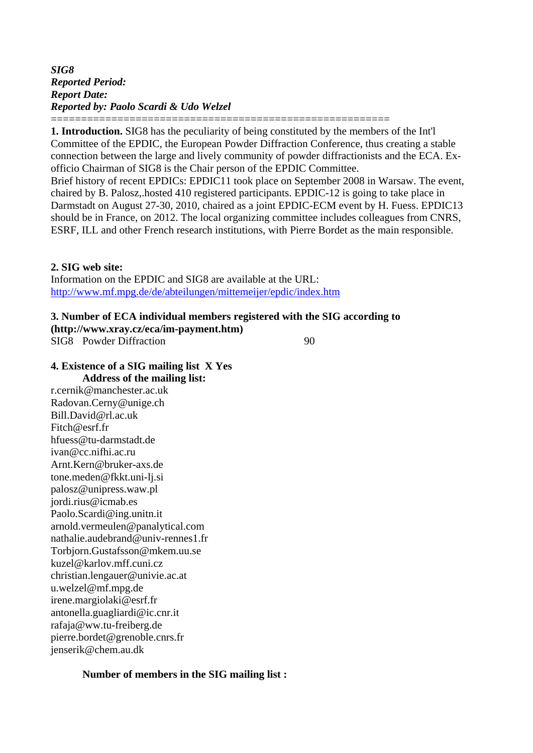*SIG8 Reported Period: Report Date: Reported by: Paolo Scardi & Udo Welzel*

======================================================== **1. Introduction.** SIG8 has the peculiarity of being constituted by the members of the Int'l Committee of the EPDIC, the European Powder Diffraction Conference, thus creating a stable connection between the large and lively community of powder diffractionists and the ECA. Exofficio Chairman of SIG8 is the Chair person of the EPDIC Committee.

Brief history of recent EPDICs: EPDIC11 took place on September 2008 in Warsaw. The event, chaired by B. Palosz,.hosted 410 registered participants. EPDIC-12 is going to take place in Darmstadt on August 27-30, 2010, chaired as a joint EPDIC-ECM event by H. Fuess. EPDIC13 should be in France, on 2012. The local organizing committee includes colleagues from CNRS, ESRF, ILL and other French research institutions, with Pierre Bordet as the main responsible.

#### **2. SIG web site:**

Information on the EPDIC and SIG8 are available at the URL: <http://www.mf.mpg.de/de/abteilungen/mittemeijer/epdic/index.htm>

#### **3. Number of ECA individual members registered with the SIG according to**

**([http://www.xray.cz/eca/im-payment.htm\)](http://www.xray.cz/eca/im-payment.htm)**  SIG8 Powder Diffraction 90

#### **4. Existence of a SIG mailing list X Yes Address of the mailing list:**

r.cernik@manchester.ac.uk Radovan.Cerny@unige.ch Bill.David@rl.ac.uk Fitch@esrf.fr hfuess@tu-darmstadt.de ivan@cc.nifhi.ac.ru Arnt.Kern@bruker-axs.de tone.meden@fkkt.uni-lj.si palosz@unipress.waw.pl jordi.rius@icmab.es Paolo.Scardi@ing.unitn.it arnold.vermeulen@panalytical.com nathalie.audebrand@univ-rennes1.fr Torbjorn.Gustafsson@mkem.uu.se kuzel@karlov.mff.cuni.cz christian.lengauer@univie.ac.at u.welzel@mf.mpg.de irene.margiolaki@esrf.fr antonella.guagliardi@ic.cnr.it rafaja@ww.tu-freiberg.de pierre.bordet@grenoble.cnrs.fr jenserik@chem.au.dk

### **Number of members in the SIG mailing list :**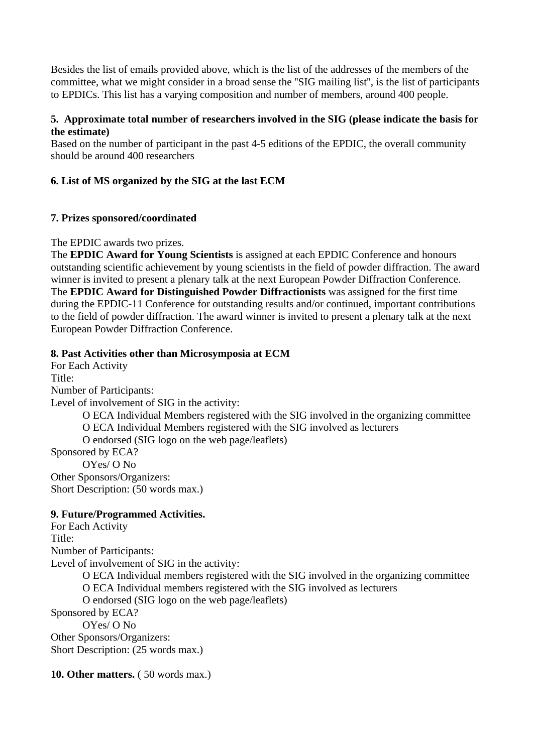Besides the list of emails provided above, which is the list of the addresses of the members of the committee, what we might consider in a broad sense the ''SIG mailing list'', is the list of participants to EPDICs. This list has a varying composition and number of members, around 400 people.

## **5. Approximate total number of researchers involved in the SIG (please indicate the basis for the estimate)**

Based on the number of participant in the past 4-5 editions of the EPDIC, the overall community should be around 400 researchers

# **6. List of MS organized by the SIG at the last ECM**

## **7. Prizes sponsored/coordinated**

The EPDIC awards two prizes.

The **EPDIC Award for Young Scientists** is assigned at each EPDIC Conference and honours outstanding scientific achievement by young scientists in the field of powder diffraction. The award winner is invited to present a plenary talk at the next European Powder Diffraction Conference. The **EPDIC Award for Distinguished Powder Diffractionists** was assigned for the first time during the EPDIC-11 Conference for outstanding results and/or continued, important contributions to the field of powder diffraction. The award winner is invited to present a plenary talk at the next European Powder Diffraction Conference.

## **8. Past Activities other than Microsymposia at ECM**

For Each Activity Title: Number of Participants: Level of involvement of SIG in the activity: O ECA Individual Members registered with the SIG involved in the organizing committee O ECA Individual Members registered with the SIG involved as lecturers O endorsed (SIG logo on the web page/leaflets) Sponsored by ECA? OYes/ O No Other Sponsors/Organizers: Short Description: (50 words max.)

#### **9. Future/Programmed Activities.**

For Each Activity Title: Number of Participants: Level of involvement of SIG in the activity: O ECA Individual members registered with the SIG involved in the organizing committee O ECA Individual members registered with the SIG involved as lecturers O endorsed (SIG logo on the web page/leaflets) Sponsored by ECA? OYes/ O No Other Sponsors/Organizers: Short Description: (25 words max.)

**10. Other matters.** (50 words max.)